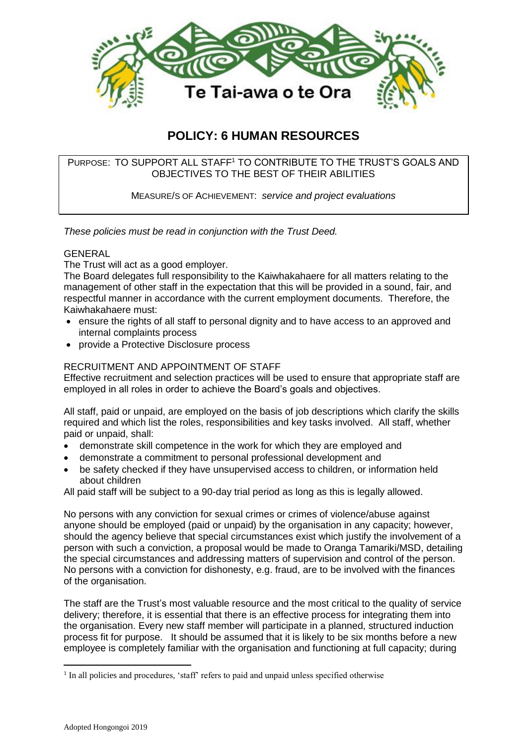

# **POLICY: 6 HUMAN RESOURCES**

# PURPOSE: TO SUPPORT ALL STAFF<sup>1</sup> TO CONTRIBUTE TO THE TRUST'S GOALS AND OBJECTIVES TO THE BEST OF THEIR ABILITIES

MEASURE/S OF ACHIEVEMENT: *service and project evaluations*

*These policies must be read in conjunction with the Trust Deed.*

## GENERAL

The Trust will act as a good employer.

The Board delegates full responsibility to the Kaiwhakahaere for all matters relating to the management of other staff in the expectation that this will be provided in a sound, fair, and respectful manner in accordance with the current employment documents. Therefore, the Kaiwhakahaere must:

- ensure the rights of all staff to personal dignity and to have access to an approved and internal complaints process
- provide a Protective Disclosure process

## RECRUITMENT AND APPOINTMENT OF STAFF

Effective recruitment and selection practices will be used to ensure that appropriate staff are employed in all roles in order to achieve the Board's goals and objectives.

All staff, paid or unpaid, are employed on the basis of job descriptions which clarify the skills required and which list the roles, responsibilities and key tasks involved. All staff, whether paid or unpaid, shall:

- demonstrate skill competence in the work for which they are employed and
- demonstrate a commitment to personal professional development and
- be safety checked if they have unsupervised access to children, or information held about children

All paid staff will be subject to a 90-day trial period as long as this is legally allowed.

No persons with any conviction for sexual crimes or crimes of violence/abuse against anyone should be employed (paid or unpaid) by the organisation in any capacity; however, should the agency believe that special circumstances exist which justify the involvement of a person with such a conviction, a proposal would be made to Oranga Tamariki/MSD, detailing the special circumstances and addressing matters of supervision and control of the person. No persons with a conviction for dishonesty, e.g. fraud, are to be involved with the finances of the organisation.

The staff are the Trust's most valuable resource and the most critical to the quality of service delivery; therefore, it is essential that there is an effective process for integrating them into the organisation. Every new staff member will participate in a planned, structured induction process fit for purpose. It should be assumed that it is likely to be six months before a new employee is completely familiar with the organisation and functioning at full capacity; during

1

<sup>&</sup>lt;sup>1</sup> In all policies and procedures, 'staff' refers to paid and unpaid unless specified otherwise